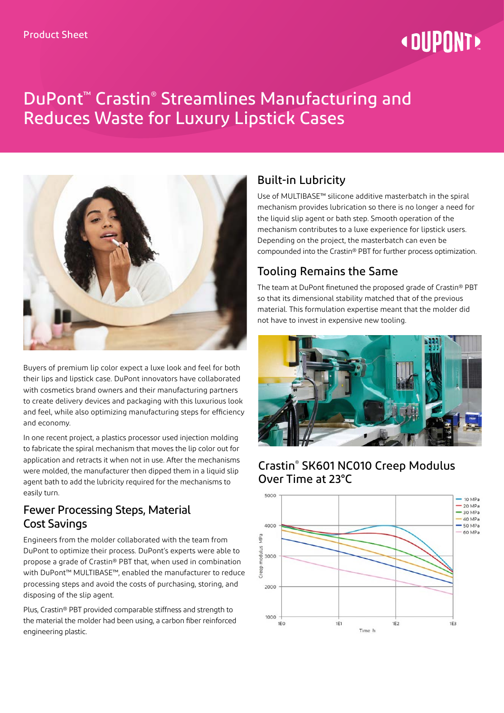# **« DUPONT**

## DuPont™ Crastin® Streamlines Manufacturing and Reduces Waste for Luxury Lipstick Cases



Buyers of premium lip color expect a luxe look and feel for both their lips and lipstick case. DuPont innovators have collaborated with cosmetics brand owners and their manufacturing partners to create delivery devices and packaging with this luxurious look and feel, while also optimizing manufacturing steps for efficiency and economy.

In one recent project, a plastics processor used injection molding to fabricate the spiral mechanism that moves the lip color out for application and retracts it when not in use. After the mechanisms were molded, the manufacturer then dipped them in a liquid slip agent bath to add the lubricity required for the mechanisms to easily turn.

#### Fewer Processing Steps, Material Cost Savings

Engineers from the molder collaborated with the team from DuPont to optimize their process. DuPont's experts were able to propose a grade of Crastin® PBT that, when used in combination with DuPont™ MULTIBASE™, enabled the manufacturer to reduce processing steps and avoid the costs of purchasing, storing, and disposing of the slip agent.

Plus, Crastin® PBT provided comparable stiffness and strength to the material the molder had been using, a carbon fiber reinforced engineering plastic.

### Built-in Lubricity

Use of MULTIBASE™ silicone additive masterbatch in the spiral mechanism provides lubrication so there is no longer a need for the liquid slip agent or bath step. Smooth operation of the mechanism contributes to a luxe experience for lipstick users. Depending on the project, the masterbatch can even be compounded into the Crastin® PBT for further process optimization.

#### Tooling Remains the Same

The team at DuPont finetuned the proposed grade of Crastin® PBT so that its dimensional stability matched that of the previous material. This formulation expertise meant that the molder did not have to invest in expensive new tooling.